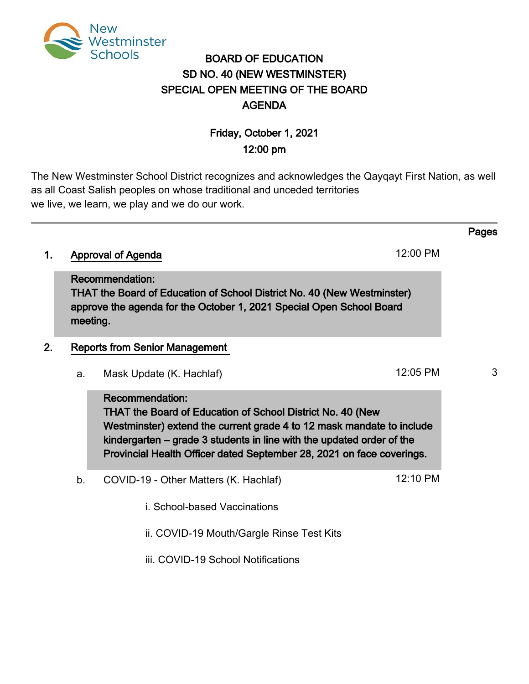

# BOARD OF EDUCATION SD NO. 40 (NEW WESTMINSTER) SPECIAL OPEN MEETING OF THE BOARD AGENDA

# Friday, October 1, 2021 12:00 pm

The New Westminster School District recognizes and acknowledges the Qayqayt First Nation, as well as all Coast Salish peoples on whose traditional and unceded territories we live, we learn, we play and we do our work.

# 1. Approval of Agenda 12:00 PM

Recommendation: THAT the Board of Education of School District No. 40 (New Westminster) approve the agenda for the October 1, 2021 Special Open School Board meeting.

# 2. Reports from Senior Management

a. Mask Update (K. Hachlaf) 12:05 PM 3

Recommendation: THAT the Board of Education of School District No. 40 (New Westminster) extend the current grade 4 to 12 mask mandate to include kindergarten – grade 3 students in line with the updated order of the Provincial Health Officer dated September 28, 2021 on face coverings.

- b. COVID-19 Other Matters (K. Hachlaf) 12:10 PM
	- i. School-based Vaccinations

ii. COVID-19 Mouth/Gargle Rinse Test Kits

iii. COVID-19 School Notifications

## Pages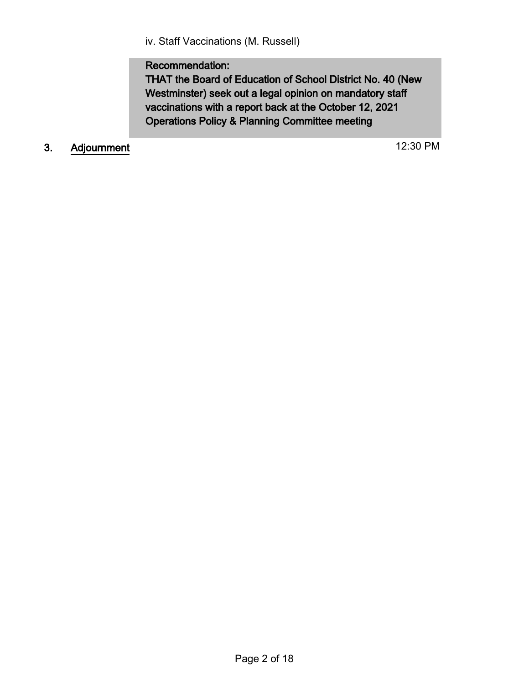iv. Staff Vaccinations (M. Russell)

# Recommendation:

THAT the Board of Education of School District No. 40 (New Westminster) seek out a legal opinion on mandatory staff vaccinations with a report back at the October 12, 2021 Operations Policy & Planning Committee meeting

# 3. Adjournment 12:30 PM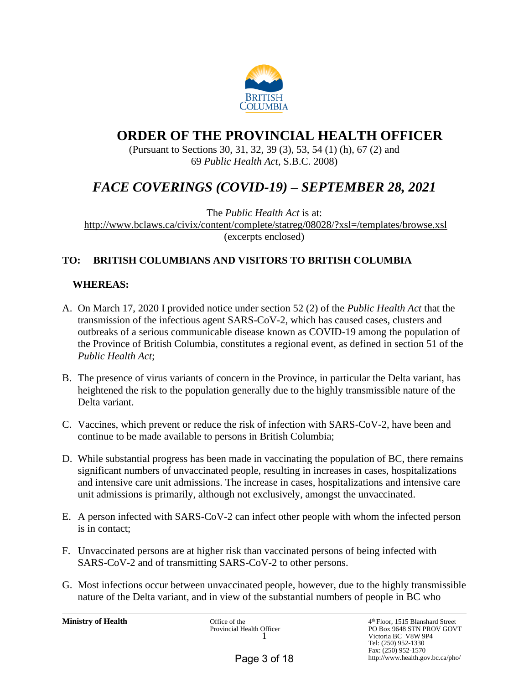

# **ORDER OF THE PROVINCIAL HEALTH OFFICER**

(Pursuant to Sections 30, 31, 32, 39 (3), 53, 54 (1) (h), 67 (2) and 69 *Public Health Act*, S.B.C. 2008)

# *FACE COVERINGS (COVID-19) – SEPTEMBER 28, 2021*

The *Public Health Act* is at: <http://www.bclaws.ca/civix/content/complete/statreg/08028/?xsl=/templates/browse.xsl> (excerpts enclosed)

# **TO: BRITISH COLUMBIANS AND VISITORS TO BRITISH COLUMBIA**

# **WHEREAS:**

- A. On March 17, 2020 I provided notice under section 52 (2) of the *Public Health Act* that the transmission of the infectious agent SARS-CoV-2, which has caused cases, clusters and outbreaks of a serious communicable disease known as COVID-19 among the population of the Province of British Columbia, constitutes a regional event, as defined in section 51 of the *Public Health Act*;
- B. The presence of virus variants of concern in the Province, in particular the Delta variant, has heightened the risk to the population generally due to the highly transmissible nature of the Delta variant.
- C. Vaccines, which prevent or reduce the risk of infection with SARS-CoV-2, have been and continue to be made available to persons in British Columbia;
- D. While substantial progress has been made in vaccinating the population of BC, there remains significant numbers of unvaccinated people, resulting in increases in cases, hospitalizations and intensive care unit admissions. The increase in cases, hospitalizations and intensive care unit admissions is primarily, although not exclusively, amongst the unvaccinated.
- E. A person infected with SARS-CoV-2 can infect other people with whom the infected person is in contact;
- F. Unvaccinated persons are at higher risk than vaccinated persons of being infected with SARS-CoV-2 and of transmitting SARS-CoV-2 to other persons.
- G. Most infections occur between unvaccinated people, however, due to the highly transmissible nature of the Delta variant, and in view of the substantial numbers of people in BC who

**Ministry of Health** Office of the

Provincial Health Officer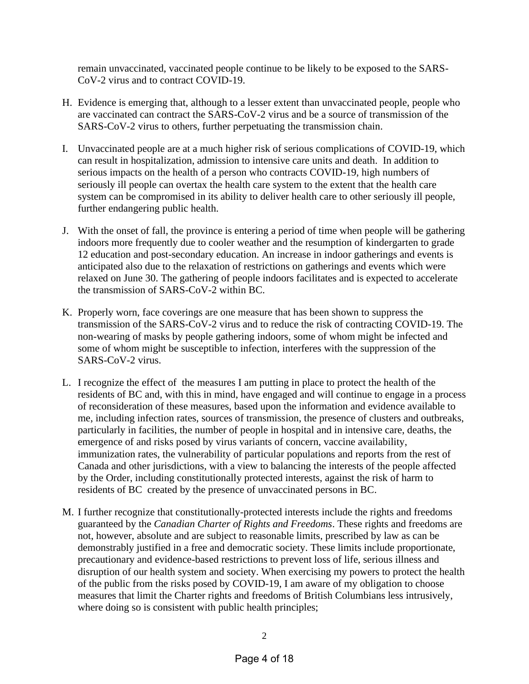remain unvaccinated, vaccinated people continue to be likely to be exposed to the SARS-CoV-2 virus and to contract COVID-19.

- H. Evidence is emerging that, although to a lesser extent than unvaccinated people, people who are vaccinated can contract the SARS-CoV-2 virus and be a source of transmission of the SARS-CoV-2 virus to others, further perpetuating the transmission chain.
- I. Unvaccinated people are at a much higher risk of serious complications of COVID-19, which can result in hospitalization, admission to intensive care units and death. In addition to serious impacts on the health of a person who contracts COVID-19, high numbers of seriously ill people can overtax the health care system to the extent that the health care system can be compromised in its ability to deliver health care to other seriously ill people, further endangering public health.
- J. With the onset of fall, the province is entering a period of time when people will be gathering indoors more frequently due to cooler weather and the resumption of kindergarten to grade 12 education and post-secondary education. An increase in indoor gatherings and events is anticipated also due to the relaxation of restrictions on gatherings and events which were relaxed on June 30. The gathering of people indoors facilitates and is expected to accelerate the transmission of SARS-CoV-2 within BC.
- K. Properly worn, face coverings are one measure that has been shown to suppress the transmission of the SARS-CoV-2 virus and to reduce the risk of contracting COVID-19. The non-wearing of masks by people gathering indoors, some of whom might be infected and some of whom might be susceptible to infection, interferes with the suppression of the SARS-CoV-2 virus.
- L. I recognize the effect of the measures I am putting in place to protect the health of the residents of BC and, with this in mind, have engaged and will continue to engage in a process of reconsideration of these measures, based upon the information and evidence available to me, including infection rates, sources of transmission, the presence of clusters and outbreaks, particularly in facilities, the number of people in hospital and in intensive care, deaths, the emergence of and risks posed by virus variants of concern, vaccine availability, immunization rates, the vulnerability of particular populations and reports from the rest of Canada and other jurisdictions, with a view to balancing the interests of the people affected by the Order, including constitutionally protected interests, against the risk of harm to residents of BC created by the presence of unvaccinated persons in BC.
- M. I further recognize that constitutionally-protected interests include the rights and freedoms guaranteed by the *Canadian Charter of Rights and Freedoms*. These rights and freedoms are not, however, absolute and are subject to reasonable limits, prescribed by law as can be demonstrably justified in a free and democratic society. These limits include proportionate, precautionary and evidence-based restrictions to prevent loss of life, serious illness and disruption of our health system and society. When exercising my powers to protect the health of the public from the risks posed by COVID-19, I am aware of my obligation to choose measures that limit the Charter rights and freedoms of British Columbians less intrusively, where doing so is consistent with public health principles;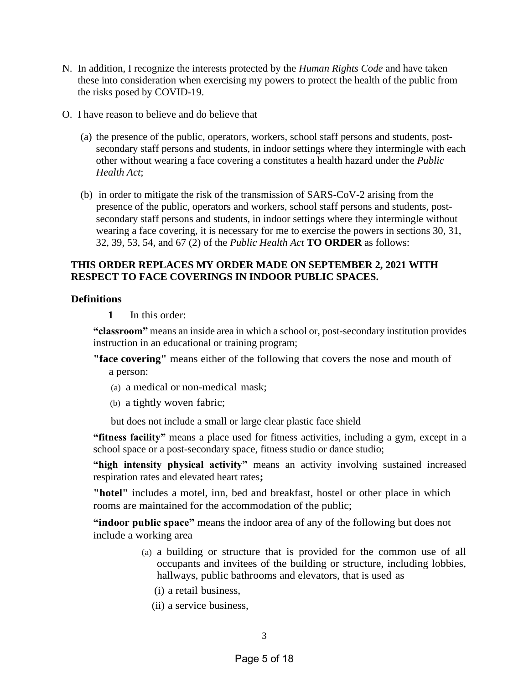- N. In addition, I recognize the interests protected by the *Human Rights Code* and have taken these into consideration when exercising my powers to protect the health of the public from the risks posed by COVID-19.
- O. I have reason to believe and do believe that
	- (a) the presence of the public, operators, workers, school staff persons and students, postsecondary staff persons and students, in indoor settings where they intermingle with each other without wearing a face covering a constitutes a health hazard under the *Public Health Act*;
	- (b) in order to mitigate the risk of the transmission of SARS-CoV-2 arising from the presence of the public, operators and workers, school staff persons and students, postsecondary staff persons and students, in indoor settings where they intermingle without wearing a face covering, it is necessary for me to exercise the powers in sections 30, 31, 32, 39, 53, 54, and 67 (2) of the *Public Health Act* **TO ORDER** as follows:

## **THIS ORDER REPLACES MY ORDER MADE ON SEPTEMBER 2, 2021 WITH RESPECT TO FACE COVERINGS IN INDOOR PUBLIC SPACES.**

#### **Definitions**

**1** In this order:

**"classroom"** means an inside area in which a school or, post-secondary institution provides instruction in an educational or training program;

**"face covering"** means either of the following that covers the nose and mouth of a person:

- (a) a medical or non-medical mask;
- (b) a tightly woven fabric;

but does not include a small or large clear plastic face shield

**"fitness facility"** means a place used for fitness activities, including a gym, except in a school space or a post-secondary space, fitness studio or dance studio;

**"high intensity physical activity"** means an activity involving sustained increased respiration rates and elevated heart rates**;** 

**"hotel"** includes a motel, inn, bed and breakfast, hostel or other place in which rooms are maintained for the accommodation of the public;

**"indoor public space"** means the indoor area of any of the following but does not include a working area

- (a) a building or structure that is provided for the common use of all occupants and invitees of the building or structure, including lobbies, hallways, public bathrooms and elevators, that is used as
	- (i) a retail business,
	- (ii) a service business,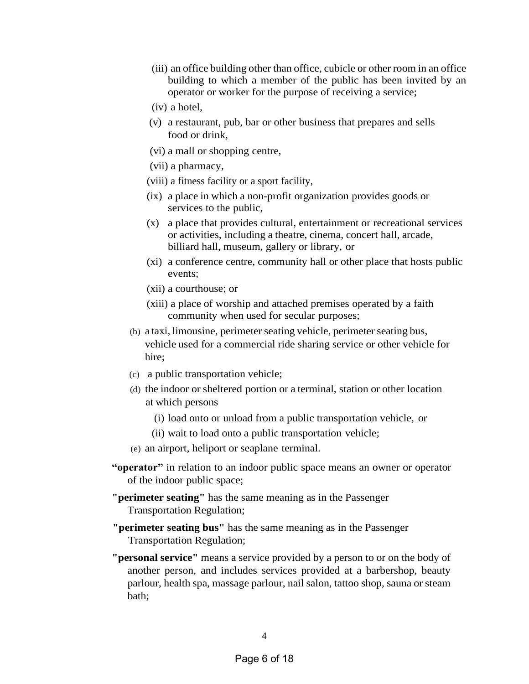- (iii) an office building other than office, cubicle or other room in an office building to which a member of the public has been invited by an operator or worker for the purpose of receiving a service;
- (iv) a hotel,
- (v) a restaurant, pub, bar or other business that prepares and sells food or drink,
- (vi) a mall or shopping centre,
- (vii) a pharmacy,
- (viii) a fitness facility or a sport facility,
- (ix) a place in which a non-profit organization provides goods or services to the public,
- (x) a place that provides cultural, entertainment or recreational services or activities, including a theatre, cinema, concert hall, arcade, billiard hall, museum, gallery or library, or
- (xi) a conference centre, community hall or other place that hosts public events;
- (xii) a courthouse; or
- (xiii) a place of worship and attached premises operated by a faith community when used for secular purposes;
- (b) a taxi, limousine, perimeter seating vehicle, perimeter seating bus, vehicle used for a commercial ride sharing service or other vehicle for hire;
- (c) a public transportation vehicle;
- (d) the indoor or sheltered portion or a terminal, station or other location at which persons
	- (i) load onto or unload from a public transportation vehicle, or
	- (ii) wait to load onto a public transportation vehicle;
- (e) an airport, heliport or seaplane terminal.
- **"operator"** in relation to an indoor public space means an owner or operator of the indoor public space;
- **"perimeter seating"** has the same meaning as in the Passenger Transportation Regulation;
- **"perimeter seating bus"** has the same meaning as in the Passenger Transportation Regulation;
- **"personal service"** means a service provided by a person to or on the body of another person, and includes services provided at a barbershop, beauty parlour, health spa, massage parlour, nail salon, tattoo shop, sauna or steam bath;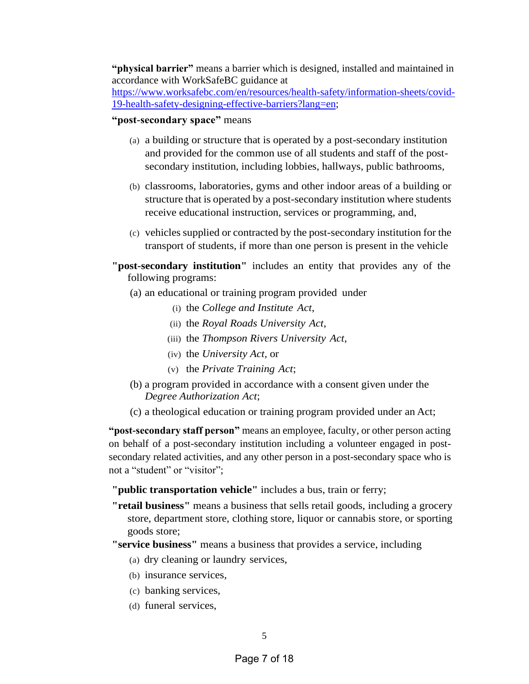**"physical barrier"** means a barrier which is designed, installed and maintained in accordance with WorkSafeBC guidance at

[https://www.worksafebc.com/en/resources/health-safety/information-sheets/covid-](https://www.worksafebc.com/en/resources/health-safety/information-sheets/covid-19-health-safety-designing-effective-barriers?lang=en)[19-health-safety-designing-effective-barriers?lang=en;](https://www.worksafebc.com/en/resources/health-safety/information-sheets/covid-19-health-safety-designing-effective-barriers?lang=en)

#### **"post-secondary space"** means

- (a) a building or structure that is operated by a post-secondary institution and provided for the common use of all students and staff of the postsecondary institution, including lobbies, hallways, public bathrooms,
- (b) classrooms, laboratories, gyms and other indoor areas of a building or structure that is operated by a post-secondary institution where students receive educational instruction, services or programming, and,
- (c) vehicles supplied or contracted by the post-secondary institution for the transport of students, if more than one person is present in the vehicle
- **"post-secondary institution"** includes an entity that provides any of the following programs:
	- (a) an educational or training program provided under
		- (i) the *College and Institute Act*,
		- (ii) the *Royal Roads University Act*,
		- (iii) the *Thompson Rivers University Act*,
		- (iv) the *University Act,* or
		- (v) the *Private Training Act*;
	- (b) a program provided in accordance with a consent given under the *Degree Authorization Act*;
	- (c) a theological education or training program provided under an Act;

**"post-secondary staff person"** means an employee, faculty, or other person acting on behalf of a post-secondary institution including a volunteer engaged in postsecondary related activities, and any other person in a post-secondary space who is not a "student" or "visitor";

**"public transportation vehicle"** includes a bus, train or ferry;

**"retail business"** means a business that sells retail goods, including a grocery store, department store, clothing store, liquor or cannabis store, or sporting goods store;

**"service business"** means a business that provides a service, including

- (a) dry cleaning or laundry services,
- (b) insurance services,
- (c) banking services,
- (d) funeral services,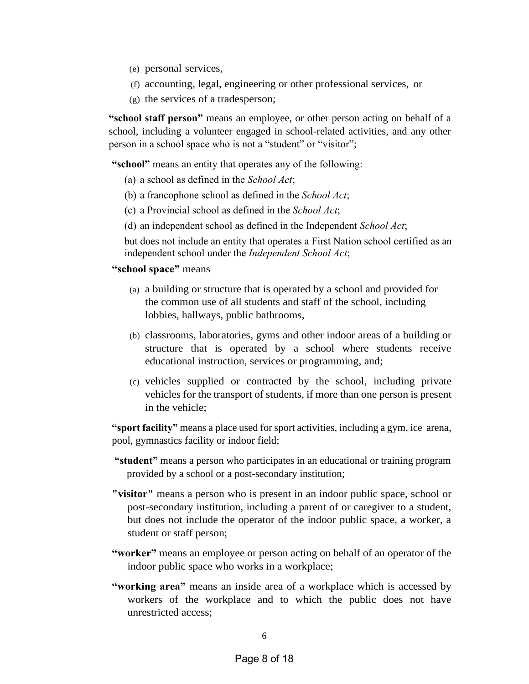- (e) personal services,
- (f) accounting, legal, engineering or other professional services, or
- (g) the services of a tradesperson;

**"school staff person"** means an employee, or other person acting on behalf of a school, including a volunteer engaged in school-related activities, and any other person in a school space who is not a "student" or "visitor";

**"school"** means an entity that operates any of the following:

- (a) a school as defined in the *School Act*;
- (b) a francophone school as defined in the *School Act*;
- (c) a Provincial school as defined in the *School Act*;
- (d) an independent school as defined in the Independent *School Act*;

but does not include an entity that operates a First Nation school certified as an independent school under the *Independent School Act*;

#### **"school space"** means

- (a) a building or structure that is operated by a school and provided for the common use of all students and staff of the school, including lobbies, hallways, public bathrooms,
- (b) classrooms, laboratories, gyms and other indoor areas of a building or structure that is operated by a school where students receive educational instruction, services or programming, and;
- (c) vehicles supplied or contracted by the school, including private vehicles for the transport of students, if more than one person is present in the vehicle;

**"sport facility"** means a place used for sport activities, including a gym, ice arena, pool, gymnastics facility or indoor field;

- **"student"** means a person who participates in an educational or training program provided by a school or a post-secondary institution;
- **"visitor"** means a person who is present in an indoor public space, school or post-secondary institution, including a parent of or caregiver to a student, but does not include the operator of the indoor public space, a worker, a student or staff person;
- **"worker"** means an employee or person acting on behalf of an operator of the indoor public space who works in a workplace;
- **"working area"** means an inside area of a workplace which is accessed by workers of the workplace and to which the public does not have unrestricted access;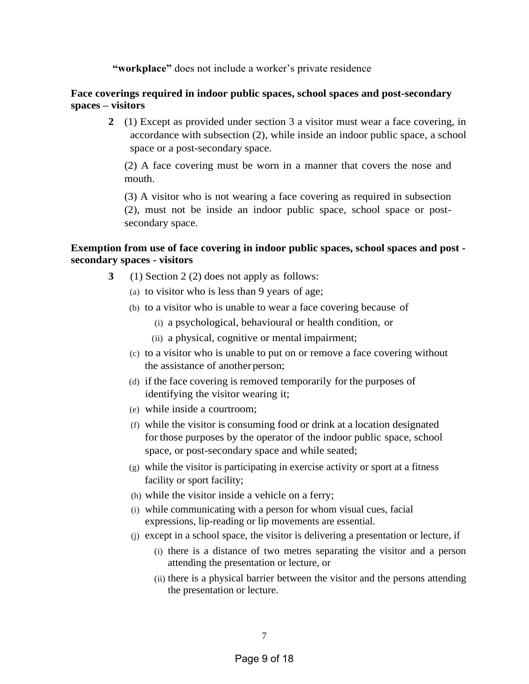**"workplace"** does not include a worker's private residence

### **Face coverings required in indoor public spaces, school spaces and post-secondary spaces – visitors**

**2** (1) Except as provided under section 3 a visitor must wear a face covering, in accordance with subsection (2), while inside an indoor public space, a school space or a post-secondary space.

(2) A face covering must be worn in a manner that covers the nose and mouth.

(3) A visitor who is not wearing a face covering as required in subsection (2), must not be inside an indoor public space, school space or postsecondary space.

## **Exemption from use of face covering in indoor public spaces, school spaces and post secondary spaces - visitors**

- **3** (1) Section 2 (2) does not apply as follows:
	- (a) to visitor who is less than 9 years of age;
	- (b) to a visitor who is unable to wear a face covering because of
		- (i) a psychological, behavioural or health condition, or
		- (ii) a physical, cognitive or mental impairment;
	- (c) to a visitor who is unable to put on or remove a face covering without the assistance of another person;
	- (d) if the face covering is removed temporarily for the purposes of identifying the visitor wearing it;
	- (e) while inside a courtroom;
	- (f) while the visitor is consuming food or drink at a location designated for those purposes by the operator of the indoor public space, school space, or post-secondary space and while seated;
	- (g) while the visitor is participating in exercise activity or sport at a fitness facility or sport facility;
	- (h) while the visitor inside a vehicle on a ferry;
	- (i) while communicating with a person for whom visual cues, facial expressions, lip-reading or lip movements are essential.
	- (j) except in a school space, the visitor is delivering a presentation or lecture, if
		- (i) there is a distance of two metres separating the visitor and a person attending the presentation or lecture, or
		- (ii) there is a physical barrier between the visitor and the persons attending the presentation or lecture.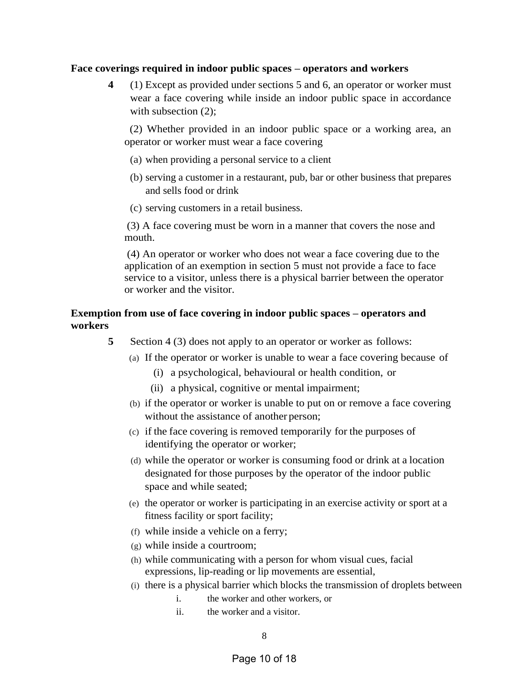#### **Face coverings required in indoor public spaces – operators and workers**

**4** (1) Except as provided under sections 5 and 6, an operator or worker must wear a face covering while inside an indoor public space in accordance with subsection  $(2)$ :

 (2) Whether provided in an indoor public space or a working area, an operator or worker must wear a face covering

- (a) when providing a personal service to a client
- (b) serving a customer in a restaurant, pub, bar or other business that prepares and sells food or drink
- (c) serving customers in a retail business.

(3) A face covering must be worn in a manner that covers the nose and mouth.

(4) An operator or worker who does not wear a face covering due to the application of an exemption in section 5 must not provide a face to face service to a visitor, unless there is a physical barrier between the operator or worker and the visitor.

## **Exemption from use of face covering in indoor public spaces – operators and workers**

- **5** Section 4 (3) does not apply to an operator or worker as follows:
	- (a) If the operator or worker is unable to wear a face covering because of
		- (i) a psychological, behavioural or health condition, or
		- (ii) a physical, cognitive or mental impairment;
	- (b) if the operator or worker is unable to put on or remove a face covering without the assistance of another person;
	- (c) if the face covering is removed temporarily for the purposes of identifying the operator or worker;
	- (d) while the operator or worker is consuming food or drink at a location designated for those purposes by the operator of the indoor public space and while seated;
	- (e) the operator or worker is participating in an exercise activity or sport at a fitness facility or sport facility;
	- (f) while inside a vehicle on a ferry;
	- (g) while inside a courtroom;
	- (h) while communicating with a person for whom visual cues, facial expressions, lip-reading or lip movements are essential,
	- (i) there is a physical barrier which blocks the transmission of droplets between
		- i. the worker and other workers, or
		- ii. the worker and a visitor.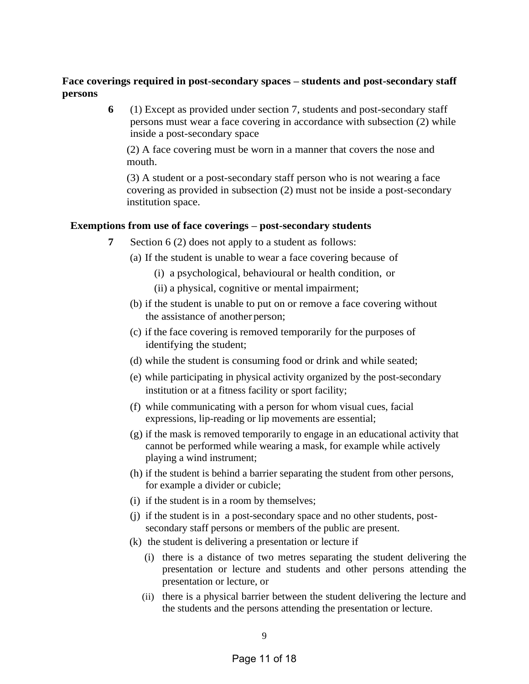### **Face coverings required in post-secondary spaces – students and post-secondary staff persons**

**6** (1) Except as provided under section 7, students and post-secondary staff persons must wear a face covering in accordance with subsection (2) while inside a post-secondary space

(2) A face covering must be worn in a manner that covers the nose and mouth.

(3) A student or a post-secondary staff person who is not wearing a face covering as provided in subsection (2) must not be inside a post-secondary institution space.

#### **Exemptions from use of face coverings – post-secondary students**

- **7** Section 6 (2) does not apply to a student as follows:
	- (a) If the student is unable to wear a face covering because of
		- (i) a psychological, behavioural or health condition, or
		- (ii) a physical, cognitive or mental impairment;
	- (b) if the student is unable to put on or remove a face covering without the assistance of another person;
	- (c) if the face covering is removed temporarily for the purposes of identifying the student;
	- (d) while the student is consuming food or drink and while seated;
	- (e) while participating in physical activity organized by the post-secondary institution or at a fitness facility or sport facility;
	- (f) while communicating with a person for whom visual cues, facial expressions, lip-reading or lip movements are essential;
	- (g) if the mask is removed temporarily to engage in an educational activity that cannot be performed while wearing a mask, for example while actively playing a wind instrument;
	- (h) if the student is behind a barrier separating the student from other persons, for example a divider or cubicle;
	- (i) if the student is in a room by themselves;
	- (j) if the student is in a post-secondary space and no other students, postsecondary staff persons or members of the public are present.
	- (k) the student is delivering a presentation or lecture if
		- (i) there is a distance of two metres separating the student delivering the presentation or lecture and students and other persons attending the presentation or lecture, or
		- (ii) there is a physical barrier between the student delivering the lecture and the students and the persons attending the presentation or lecture.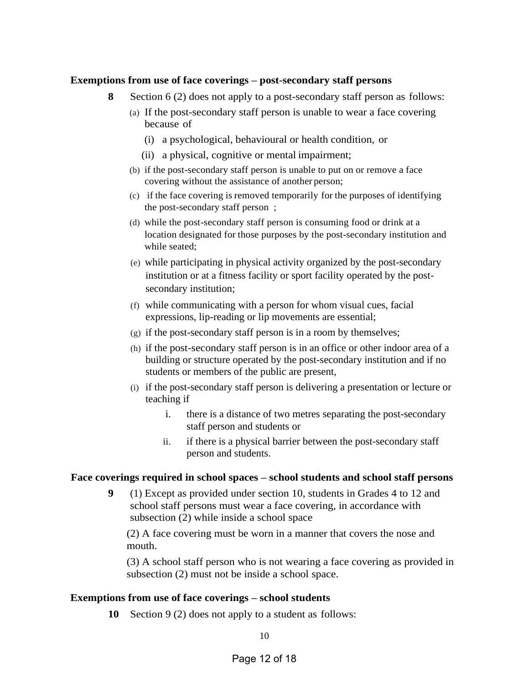#### **Exemptions from use of face coverings – post-secondary staff persons**

- **8** Section 6 (2) does not apply to a post-secondary staff person as follows:
	- (a) If the post-secondary staff person is unable to wear a face covering because of
		- (i) a psychological, behavioural or health condition, or
		- (ii) a physical, cognitive or mental impairment;
	- (b) if the post-secondary staff person is unable to put on or remove a face covering without the assistance of another person;
	- (c) if the face covering is removed temporarily for the purposes of identifying the post-secondary staff person ;
	- (d) while the post-secondary staff person is consuming food or drink at a location designated for those purposes by the post-secondary institution and while seated;
	- (e) while participating in physical activity organized by the post-secondary institution or at a fitness facility or sport facility operated by the postsecondary institution;
	- (f) while communicating with a person for whom visual cues, facial expressions, lip-reading or lip movements are essential;
	- (g) if the post-secondary staff person is in a room by themselves;
	- (h) if the post-secondary staff person is in an office or other indoor area of a building or structure operated by the post-secondary institution and if no students or members of the public are present,
	- (i) if the post-secondary staff person is delivering a presentation or lecture or teaching if
		- i. there is a distance of two metres separating the post-secondary staff person and students or
		- ii. if there is a physical barrier between the post-secondary staff person and students.

#### **Face coverings required in school spaces – school students and school staff persons**

**9** (1) Except as provided under section 10, students in Grades 4 to 12 and school staff persons must wear a face covering, in accordance with subsection (2) while inside a school space

(2) A face covering must be worn in a manner that covers the nose and mouth.

(3) A school staff person who is not wearing a face covering as provided in subsection (2) must not be inside a school space.

#### **Exemptions from use of face coverings – school students**

**10** Section 9 (2) does not apply to a student as follows: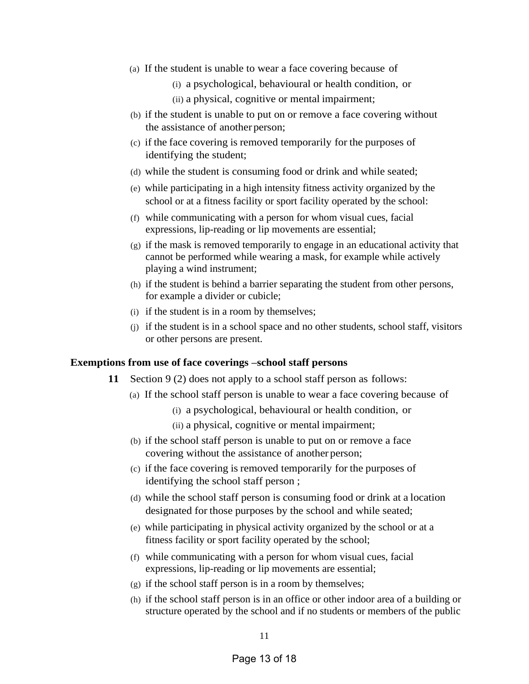- (a) If the student is unable to wear a face covering because of
	- (i) a psychological, behavioural or health condition, or
	- (ii) a physical, cognitive or mental impairment;
- (b) if the student is unable to put on or remove a face covering without the assistance of another person;
- (c) if the face covering is removed temporarily for the purposes of identifying the student;
- (d) while the student is consuming food or drink and while seated;
- (e) while participating in a high intensity fitness activity organized by the school or at a fitness facility or sport facility operated by the school:
- (f) while communicating with a person for whom visual cues, facial expressions, lip-reading or lip movements are essential;
- (g) if the mask is removed temporarily to engage in an educational activity that cannot be performed while wearing a mask, for example while actively playing a wind instrument;
- (h) if the student is behind a barrier separating the student from other persons, for example a divider or cubicle;
- (i) if the student is in a room by themselves;
- (j) if the student is in a school space and no other students, school staff, visitors or other persons are present.

#### **Exemptions from use of face coverings –school staff persons**

- **11** Section 9 (2) does not apply to a school staff person as follows:
	- (a) If the school staff person is unable to wear a face covering because of
		- (i) a psychological, behavioural or health condition, or
		- (ii) a physical, cognitive or mental impairment;
	- (b) if the school staff person is unable to put on or remove a face covering without the assistance of another person;
	- (c) if the face covering is removed temporarily for the purposes of identifying the school staff person ;
	- (d) while the school staff person is consuming food or drink at a location designated for those purposes by the school and while seated;
	- (e) while participating in physical activity organized by the school or at a fitness facility or sport facility operated by the school;
	- (f) while communicating with a person for whom visual cues, facial expressions, lip-reading or lip movements are essential;
	- (g) if the school staff person is in a room by themselves;
	- (h) if the school staff person is in an office or other indoor area of a building or structure operated by the school and if no students or members of the public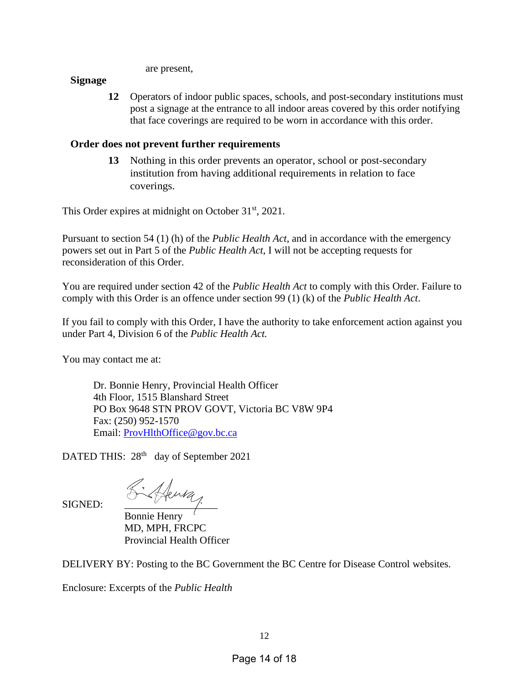are present,

### **Signage**

**12** Operators of indoor public spaces, schools, and post-secondary institutions must post a signage at the entrance to all indoor areas covered by this order notifying that face coverings are required to be worn in accordance with this order.

# **Order does not prevent further requirements**

**13** Nothing in this order prevents an operator, school or post-secondary institution from having additional requirements in relation to face coverings.

This Order expires at midnight on October 31<sup>st</sup>, 2021.

Pursuant to section 54 (1) (h) of the *Public Health Act*, and in accordance with the emergency powers set out in Part 5 of the *Public Health Act*, I will not be accepting requests for reconsideration of this Order.

You are required under section 42 of the *Public Health Act* to comply with this Order. Failure to comply with this Order is an offence under section 99 (1) (k) of the *Public Health Act*.

If you fail to comply with this Order, I have the authority to take enforcement action against you under Part 4, Division 6 of the *Public Health Act.*

You may contact me at:

Dr. Bonnie Henry, Provincial Health Officer 4th Floor, 1515 Blanshard Street PO Box 9648 STN PROV GOVT, Victoria BC V8W 9P4 Fax: (250) 952-1570 Email: [ProvHlthOffice@gov.bc.ca](mailto:ProvHlthOffice@gov.bc.ca)

DATED THIS: 28<sup>th</sup> day of September 2021

SIGNED:  $\frac{\text{S}\cdot\text{A} \text{e}^{\text{u} \cdot \text{a}}\cdot \text{e}^{\text{a}}\cdot \text{e}^{\text{a}}\cdot \text{e}^{\text{a}}\cdot \text{e}^{\text{a}}\cdot \text{e}^{\text{a}}\cdot \text{e}^{\text{a}}\cdot \text{e}^{\text{a}}\cdot \text{e}^{\text{a}}\cdot \text{e}^{\text{a}}\cdot \text{e}^{\text{a}}\cdot \text{e}^{\text{a}}\cdot \text{e}^{\text{a}}\cdot \text{e}^{\text{a}}\cdot \text{e}^{\text{a$ 

Bonnie Henry MD, MPH, FRCPC Provincial Health Officer

DELIVERY BY: Posting to the BC Government the BC Centre for Disease Control websites.

Enclosure: Excerpts of the *Public Health*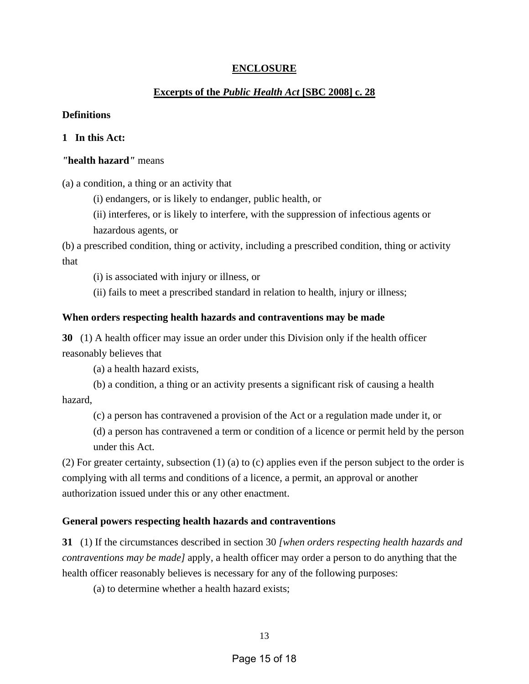## **ENCLOSURE**

### **Excerpts of the** *Public Health Act* **[SBC 2008] c. 28**

#### **Definitions**

### **1 In this Act:**

#### *"***health hazard***"* means

(a) a condition, a thing or an activity that

(i) endangers, or is likely to endanger, public health, or

(ii) interferes, or is likely to interfere, with the suppression of infectious agents or hazardous agents, or

(b) a prescribed condition, thing or activity, including a prescribed condition, thing or activity that

(i) is associated with injury or illness, or

(ii) fails to meet a prescribed standard in relation to health, injury or illness;

#### **When orders respecting health hazards and contraventions may be made**

**30** (1) A health officer may issue an order under this Division only if the health officer reasonably believes that

(a) a health hazard exists,

(b) a condition, a thing or an activity presents a significant risk of causing a health hazard,

(c) a person has contravened a provision of the Act or a regulation made under it, or

(d) a person has contravened a term or condition of a licence or permit held by the person under this Act.

(2) For greater certainty, subsection (1) (a) to (c) applies even if the person subject to the order is complying with all terms and conditions of a licence, a permit, an approval or another authorization issued under this or any other enactment.

#### **General powers respecting health hazards and contraventions**

**31** (1) If the circumstances described in section 30 *[when orders respecting health hazards and contraventions may be made]* apply, a health officer may order a person to do anything that the health officer reasonably believes is necessary for any of the following purposes:

(a) to determine whether a health hazard exists;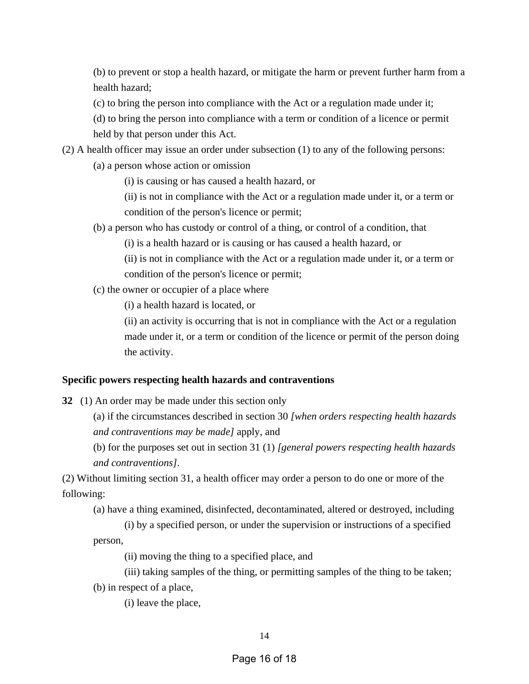(b) to prevent or stop a health hazard, or mitigate the harm or prevent further harm from a health hazard;

(c) to bring the person into compliance with the Act or a regulation made under it;

(d) to bring the person into compliance with a term or condition of a licence or permit held by that person under this Act.

(2) A health officer may issue an order under subsection (1) to any of the following persons:

(a) a person whose action or omission

(i) is causing or has caused a health hazard, or

(ii) is not in compliance with the Act or a regulation made under it, or a term or condition of the person's licence or permit;

(b) a person who has custody or control of a thing, or control of a condition, that

(i) is a health hazard or is causing or has caused a health hazard, or

(ii) is not in compliance with the Act or a regulation made under it, or a term or condition of the person's licence or permit;

(c) the owner or occupier of a place where

(i) a health hazard is located, or

(ii) an activity is occurring that is not in compliance with the Act or a regulation made under it, or a term or condition of the licence or permit of the person doing the activity.

#### **Specific powers respecting health hazards and contraventions**

**32** (1) An order may be made under this section only

(a) if the circumstances described in section 30 *[when orders respecting health hazards and contraventions may be made]* apply, and

(b) for the purposes set out in section 31 (1) *[general powers respecting health hazards and contraventions]*.

(2) Without limiting section 31, a health officer may order a person to do one or more of the following:

(a) have a thing examined, disinfected, decontaminated, altered or destroyed, including

(i) by a specified person, or under the supervision or instructions of a specified person,

(ii) moving the thing to a specified place, and

(iii) taking samples of the thing, or permitting samples of the thing to be taken;

(b) in respect of a place,

(i) leave the place,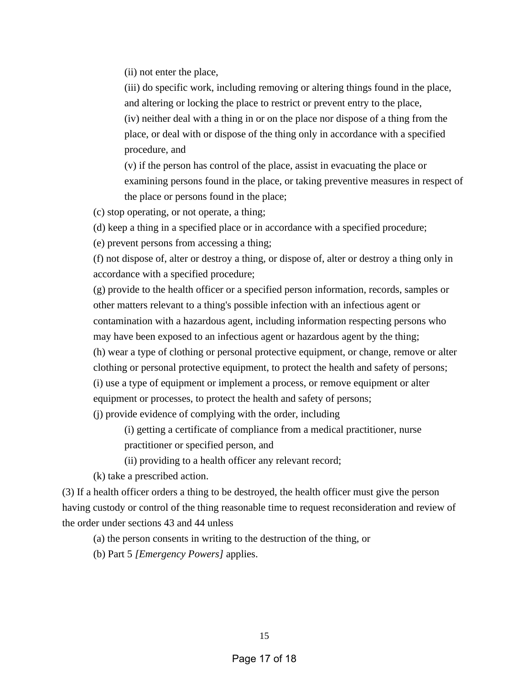(ii) not enter the place,

(iii) do specific work, including removing or altering things found in the place, and altering or locking the place to restrict or prevent entry to the place, (iv) neither deal with a thing in or on the place nor dispose of a thing from the place, or deal with or dispose of the thing only in accordance with a specified procedure, and

(v) if the person has control of the place, assist in evacuating the place or examining persons found in the place, or taking preventive measures in respect of the place or persons found in the place;

(c) stop operating, or not operate, a thing;

(d) keep a thing in a specified place or in accordance with a specified procedure;

(e) prevent persons from accessing a thing;

(f) not dispose of, alter or destroy a thing, or dispose of, alter or destroy a thing only in accordance with a specified procedure;

(g) provide to the health officer or a specified person information, records, samples or other matters relevant to a thing's possible infection with an infectious agent or contamination with a hazardous agent, including information respecting persons who may have been exposed to an infectious agent or hazardous agent by the thing;

(h) wear a type of clothing or personal protective equipment, or change, remove or alter clothing or personal protective equipment, to protect the health and safety of persons; (i) use a type of equipment or implement a process, or remove equipment or alter equipment or processes, to protect the health and safety of persons;

(j) provide evidence of complying with the order, including

(i) getting a certificate of compliance from a medical practitioner, nurse practitioner or specified person, and

(ii) providing to a health officer any relevant record;

(k) take a prescribed action.

(3) If a health officer orders a thing to be destroyed, the health officer must give the person having custody or control of the thing reasonable time to request reconsideration and review of the order under sections 43 and 44 unless

(a) the person consents in writing to the destruction of the thing, or

(b) Part 5 *[Emergency Powers]* applies.